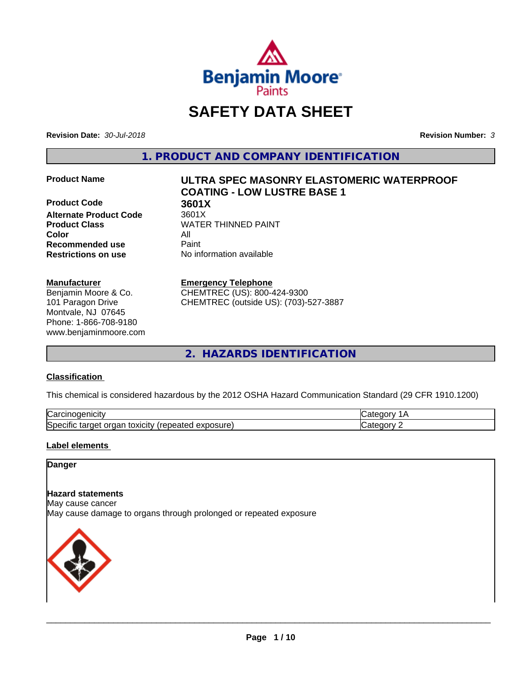

# **SAFETY DATA SHEET**

**Revision Date:** *30-Jul-2018* **Revision Number:** *3*

**1. PRODUCT AND COMPANY IDENTIFICATION**

**Product Code 3601X**<br> **Alternate Product Code** 3601X **Alternate Product Code Color** All **Recommended use** Paint **Restrictions on use** No information available

#### **Manufacturer**

Benjamin Moore & Co. 101 Paragon Drive Montvale, NJ 07645 Phone: 1-866-708-9180 www.benjaminmoore.com

# **Product Name ULTRA SPEC MASONRY ELASTOMERIC WATERPROOF COATING - LOW LUSTRE BASE 1**

**Product Class WATER THINNED PAINT** 

#### **Emergency Telephone**

CHEMTREC (US): 800-424-9300 CHEMTREC (outside US): (703)-527-3887

**2. HAZARDS IDENTIFICATION**

#### **Classification**

This chemical is considered hazardous by the 2012 OSHA Hazard Communication Standard (29 CFR 1910.1200)

| ∽<br>-----<br>∪ar<br>нсн<br>                                                              |  |
|-------------------------------------------------------------------------------------------|--|
| osure<br>.<br>toxicity<br>50er<br>orgar<br>arner -<br>$\cdots$<br>.<br>ши<br>59160<br>ᇢᅀᄓ |  |

#### **Label elements**

#### **Danger**

#### **Hazard statements**

May cause cancer

May cause damage to organs through prolonged or repeated exposure

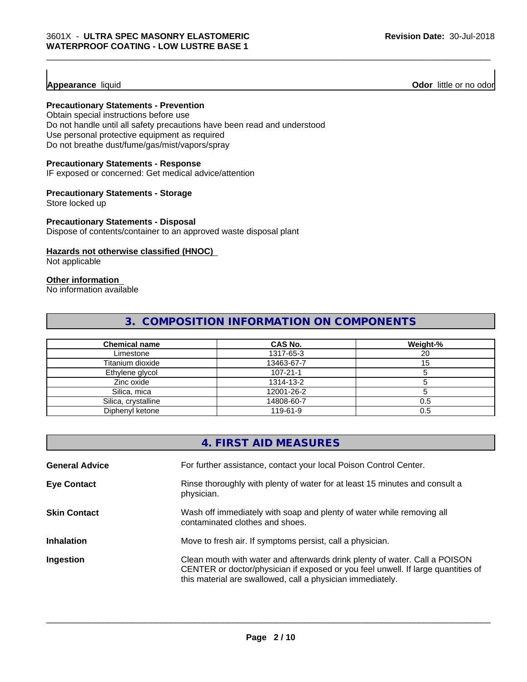**Appearance** liquid **Odor 11** Odor little or no odor

#### **Precautionary Statements - Prevention**

Obtain special instructions before use Do not handle until all safety precautions have been read and understood Use personal protective equipment as required Do not breathe dust/fume/gas/mist/vapors/spray

#### **Precautionary Statements - Response**

IF exposed or concerned: Get medical advice/attention

#### **Precautionary Statements - Storage**

Store locked up

#### **Precautionary Statements - Disposal**

Dispose of contents/container to an approved waste disposal plant

#### **Hazards not otherwise classified (HNOC)**

Not applicable

## **Other information**

No information available

# **3. COMPOSITION INFORMATION ON COMPONENTS**

| <b>Chemical name</b> | CAS No.    | Weight-% |
|----------------------|------------|----------|
| Limestone            | 1317-65-3  | 20       |
| Titanium dioxide     | 13463-67-7 |          |
| Ethylene glycol      | 107-21-1   |          |
| Zinc oxide           | 1314-13-2  |          |
| Silica, mica         | 12001-26-2 |          |
| Silica, crystalline  | 14808-60-7 | 0.5      |
| Diphenyl ketone      | 119-61-9   | 0.5      |

|                       | 4. FIRST AID MEASURES                                                                                                                                                                                                        |
|-----------------------|------------------------------------------------------------------------------------------------------------------------------------------------------------------------------------------------------------------------------|
| <b>General Advice</b> | For further assistance, contact your local Poison Control Center.                                                                                                                                                            |
| <b>Eye Contact</b>    | Rinse thoroughly with plenty of water for at least 15 minutes and consult a<br>physician.                                                                                                                                    |
| <b>Skin Contact</b>   | Wash off immediately with soap and plenty of water while removing all<br>contaminated clothes and shoes.                                                                                                                     |
| <b>Inhalation</b>     | Move to fresh air. If symptoms persist, call a physician.                                                                                                                                                                    |
| Ingestion             | Clean mouth with water and afterwards drink plenty of water. Call a POISON<br>CENTER or doctor/physician if exposed or you feel unwell. If large quantities of<br>this material are swallowed, call a physician immediately. |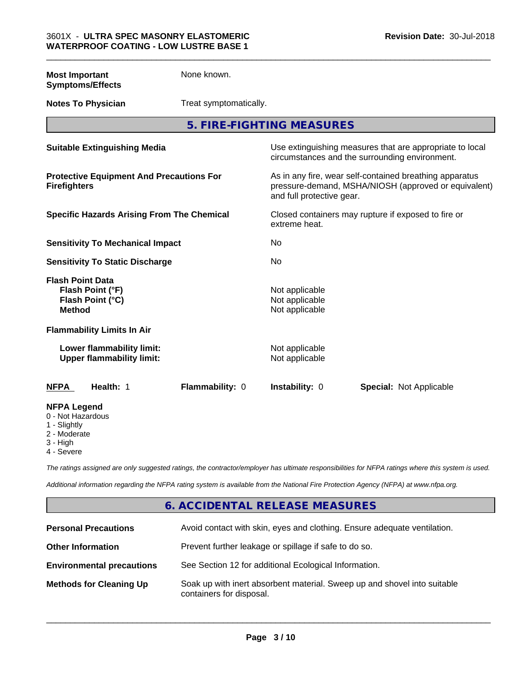| <b>Most Important</b><br><b>Symptoms/Effects</b>                                 | None known.            |                                                    |                                                                                                                 |
|----------------------------------------------------------------------------------|------------------------|----------------------------------------------------|-----------------------------------------------------------------------------------------------------------------|
| <b>Notes To Physician</b>                                                        | Treat symptomatically. |                                                    |                                                                                                                 |
|                                                                                  |                        | 5. FIRE-FIGHTING MEASURES                          |                                                                                                                 |
| <b>Suitable Extinguishing Media</b>                                              |                        |                                                    | Use extinguishing measures that are appropriate to local<br>circumstances and the surrounding environment.      |
| <b>Protective Equipment And Precautions For</b><br><b>Firefighters</b>           |                        | and full protective gear.                          | As in any fire, wear self-contained breathing apparatus<br>pressure-demand, MSHA/NIOSH (approved or equivalent) |
| <b>Specific Hazards Arising From The Chemical</b>                                |                        | extreme heat.                                      | Closed containers may rupture if exposed to fire or                                                             |
| <b>Sensitivity To Mechanical Impact</b>                                          |                        | No                                                 |                                                                                                                 |
| <b>Sensitivity To Static Discharge</b>                                           |                        | No                                                 |                                                                                                                 |
| <b>Flash Point Data</b><br>Flash Point (°F)<br>Flash Point (°C)<br><b>Method</b> |                        | Not applicable<br>Not applicable<br>Not applicable |                                                                                                                 |
| <b>Flammability Limits In Air</b>                                                |                        |                                                    |                                                                                                                 |
| Lower flammability limit:<br><b>Upper flammability limit:</b>                    |                        | Not applicable<br>Not applicable                   |                                                                                                                 |
| Health: 1<br><b>NFPA</b>                                                         | Flammability: 0        | Instability: 0                                     | Special: Not Applicable                                                                                         |
| <b>NFPA Legend</b><br>0 - Not Hazardous<br>1 - Slightly<br>2 - Moderate          |                        |                                                    |                                                                                                                 |

3 - High

4 - Severe

*The ratings assigned are only suggested ratings, the contractor/employer has ultimate responsibilities for NFPA ratings where this system is used.*

*Additional information regarding the NFPA rating system is available from the National Fire Protection Agency (NFPA) at www.nfpa.org.*

## **6. ACCIDENTAL RELEASE MEASURES**

| <b>Personal Precautions</b>      | Avoid contact with skin, eyes and clothing. Ensure adequate ventilation.                             |
|----------------------------------|------------------------------------------------------------------------------------------------------|
| <b>Other Information</b>         | Prevent further leakage or spillage if safe to do so.                                                |
| <b>Environmental precautions</b> | See Section 12 for additional Ecological Information.                                                |
| <b>Methods for Cleaning Up</b>   | Soak up with inert absorbent material. Sweep up and shovel into suitable<br>containers for disposal. |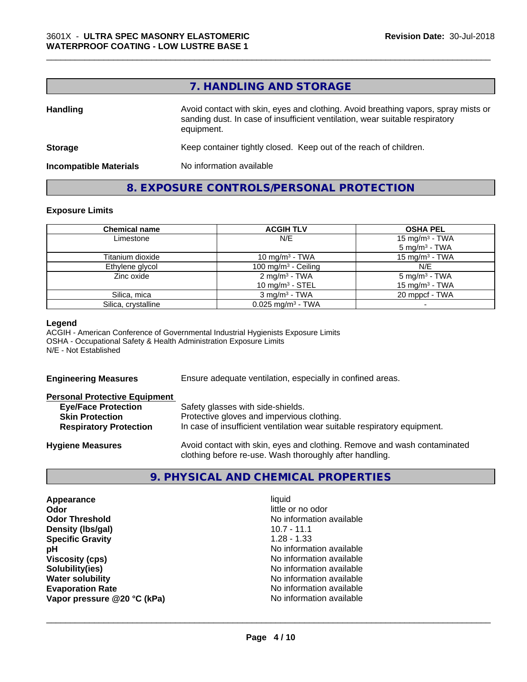### **7. HANDLING AND STORAGE**

\_\_\_\_\_\_\_\_\_\_\_\_\_\_\_\_\_\_\_\_\_\_\_\_\_\_\_\_\_\_\_\_\_\_\_\_\_\_\_\_\_\_\_\_\_\_\_\_\_\_\_\_\_\_\_\_\_\_\_\_\_\_\_\_\_\_\_\_\_\_\_\_\_\_\_\_\_\_\_\_\_\_\_\_\_\_\_\_\_\_\_\_\_

| <b>Handling</b>               | Avoid contact with skin, eyes and clothing. Avoid breathing vapors, spray mists or<br>sanding dust. In case of insufficient ventilation, wear suitable respiratory<br>equipment. |
|-------------------------------|----------------------------------------------------------------------------------------------------------------------------------------------------------------------------------|
| <b>Storage</b>                | Keep container tightly closed. Keep out of the reach of children.                                                                                                                |
| <b>Incompatible Materials</b> | No information available                                                                                                                                                         |

## **8. EXPOSURE CONTROLS/PERSONAL PROTECTION**

#### **Exposure Limits**

| <b>Chemical name</b> | <b>ACGIH TLV</b>                                        | <b>OSHA PEL</b>                                         |
|----------------------|---------------------------------------------------------|---------------------------------------------------------|
| Limestone            | N/E                                                     | 15 mg/m <sup>3</sup> - TWA<br>$5 \text{ mg/m}^3$ - TWA  |
| Titanium dioxide     | 10 mg/m <sup>3</sup> - TWA                              | 15 mg/m $3$ - TWA                                       |
| Ethylene glycol      | 100 mg/m $3$ - Ceiling                                  | N/E                                                     |
| Zinc oxide           | $2 \text{ mq/m}^3$ - TWA<br>10 mg/m <sup>3</sup> - STEL | 5 mg/m <sup>3</sup> - TWA<br>15 mg/m <sup>3</sup> - TWA |
| Silica, mica         | $3$ mg/m <sup>3</sup> - TWA                             | 20 mppcf - TWA                                          |
| Silica, crystalline  | $0.025$ mg/m <sup>3</sup> - TWA                         |                                                         |

#### **Legend**

ACGIH - American Conference of Governmental Industrial Hygienists Exposure Limits OSHA - Occupational Safety & Health Administration Exposure Limits N/E - Not Established

**Engineering Measures** Ensure adequate ventilation, especially in confined areas.

| <b>Personal Protective Equipment</b> |                                                                          |
|--------------------------------------|--------------------------------------------------------------------------|
| <b>Eye/Face Protection</b>           | Safety glasses with side-shields.                                        |
| <b>Skin Protection</b>               | Protective gloves and impervious clothing.                               |
| <b>Respiratory Protection</b>        | In case of insufficient ventilation wear suitable respiratory equipment. |
| <b>Hygiene Measures</b>              | Avoid contact with skin, eyes and clothing. Remove and wash contaminated |

**9. PHYSICAL AND CHEMICAL PROPERTIES**

clothing before re-use. Wash thoroughly after handling.

| Appearance                  | liquid                   |
|-----------------------------|--------------------------|
| Odor                        | little or no odor        |
| <b>Odor Threshold</b>       | No information available |
| Density (Ibs/gal)           | $10.7 - 11.1$            |
| <b>Specific Gravity</b>     | $1.28 - 1.33$            |
| рH                          | No information available |
| <b>Viscosity (cps)</b>      | No information available |
| Solubility(ies)             | No information available |
| <b>Water solubility</b>     | No information available |
| <b>Evaporation Rate</b>     | No information available |
| Vapor pressure @20 °C (kPa) | No information available |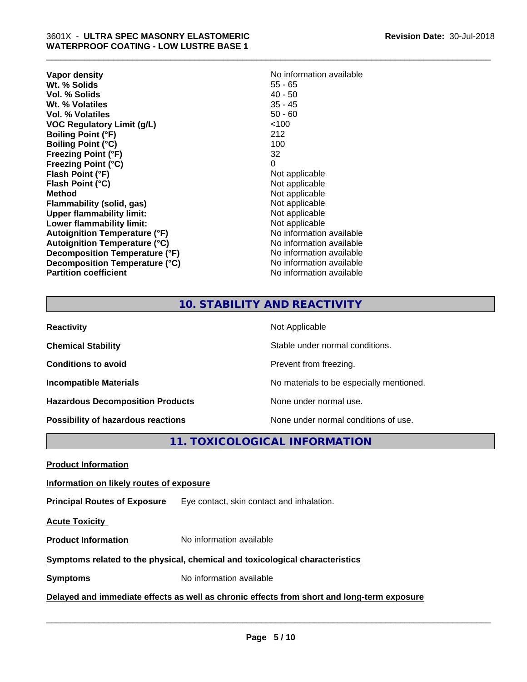| Vapor density<br>Wt. % Solids<br>Vol. % Solids<br>Wt. % Volatiles | No information available<br>$55 - 65$<br>$40 - 50$<br>$35 - 45$ |
|-------------------------------------------------------------------|-----------------------------------------------------------------|
| Vol. % Volatiles                                                  | $50 - 60$                                                       |
| <b>VOC Regulatory Limit (g/L)</b>                                 | <100                                                            |
| <b>Boiling Point (°F)</b>                                         | 212                                                             |
| <b>Boiling Point (°C)</b>                                         | 100                                                             |
| <b>Freezing Point (°F)</b>                                        | 32                                                              |
| <b>Freezing Point (°C)</b>                                        | 0                                                               |
| Flash Point (°F)                                                  | Not applicable                                                  |
| Flash Point (°C)                                                  | Not applicable                                                  |
| Method                                                            | Not applicable                                                  |
| Flammability (solid, gas)                                         | Not applicable                                                  |
| <b>Upper flammability limit:</b>                                  | Not applicable                                                  |
| Lower flammability limit:                                         | Not applicable                                                  |
| <b>Autoignition Temperature (°F)</b>                              | No information available                                        |
| <b>Autoignition Temperature (°C)</b>                              | No information available                                        |
| Decomposition Temperature (°F)                                    | No information available                                        |
| Decomposition Temperature (°C)                                    | No information available                                        |
| <b>Partition coefficient</b>                                      | No information available                                        |

\_\_\_\_\_\_\_\_\_\_\_\_\_\_\_\_\_\_\_\_\_\_\_\_\_\_\_\_\_\_\_\_\_\_\_\_\_\_\_\_\_\_\_\_\_\_\_\_\_\_\_\_\_\_\_\_\_\_\_\_\_\_\_\_\_\_\_\_\_\_\_\_\_\_\_\_\_\_\_\_\_\_\_\_\_\_\_\_\_\_\_\_\_

## **10. STABILITY AND REACTIVITY**

| <b>Reactivity</b>                         | Not Applicable                           |
|-------------------------------------------|------------------------------------------|
| <b>Chemical Stability</b>                 | Stable under normal conditions.          |
| <b>Conditions to avoid</b>                | Prevent from freezing.                   |
| <b>Incompatible Materials</b>             | No materials to be especially mentioned. |
| <b>Hazardous Decomposition Products</b>   | None under normal use.                   |
| <b>Possibility of hazardous reactions</b> | None under normal conditions of use.     |

**11. TOXICOLOGICAL INFORMATION**

**Product Information**

#### **Information on likely routes of exposure**

**Principal Routes of Exposure** Eye contact, skin contact and inhalation.

**Acute Toxicity** 

**Product Information** No information available

## **Symptoms related to the physical,chemical and toxicological characteristics**

**Symptoms** No information available

**Delayed and immediate effects as well as chronic effects from short and long-term exposure**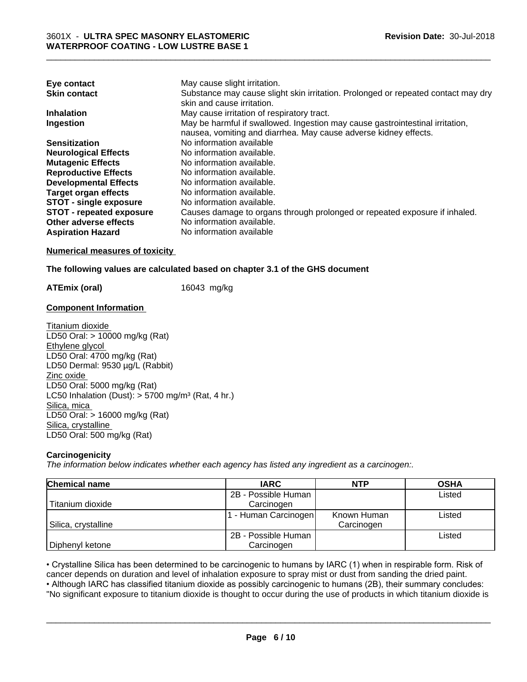| Eye contact                     | May cause slight irritation.                                                      |
|---------------------------------|-----------------------------------------------------------------------------------|
| <b>Skin contact</b>             | Substance may cause slight skin irritation. Prolonged or repeated contact may dry |
|                                 | skin and cause irritation.                                                        |
| <b>Inhalation</b>               | May cause irritation of respiratory tract.                                        |
| Ingestion                       | May be harmful if swallowed. Ingestion may cause gastrointestinal irritation,     |
|                                 | nausea, vomiting and diarrhea. May cause adverse kidney effects.                  |
| <b>Sensitization</b>            | No information available                                                          |
| <b>Neurological Effects</b>     | No information available.                                                         |
| <b>Mutagenic Effects</b>        | No information available.                                                         |
| <b>Reproductive Effects</b>     | No information available.                                                         |
| <b>Developmental Effects</b>    | No information available.                                                         |
| <b>Target organ effects</b>     | No information available.                                                         |
| <b>STOT - single exposure</b>   | No information available.                                                         |
| <b>STOT - repeated exposure</b> | Causes damage to organs through prolonged or repeated exposure if inhaled.        |
| Other adverse effects           | No information available.                                                         |
| <b>Aspiration Hazard</b>        | No information available                                                          |

#### **Numerical measures of toxicity**

#### **The following values are calculated based on chapter 3.1 of the GHS document**

**ATEmix (oral)** 16043 mg/kg

#### **Component Information**

Titanium dioxide LD50 Oral: > 10000 mg/kg (Rat) Ethylene glycol LD50 Oral: 4700 mg/kg (Rat) LD50 Dermal: 9530 µg/L (Rabbit) Zinc oxide LD50 Oral: 5000 mg/kg (Rat) LC50 Inhalation (Dust):  $> 5700$  mg/m<sup>3</sup> (Rat, 4 hr.) Silica, mica LD50 Oral: > 16000 mg/kg (Rat) Silica, crystalline LD50 Oral: 500 mg/kg (Rat)

#### **Carcinogenicity**

*The information below indicateswhether each agency has listed any ingredient as a carcinogen:.*

| <b>Chemical name</b> | <b>IARC</b>         | <b>NTP</b>  | <b>OSHA</b> |
|----------------------|---------------------|-------------|-------------|
|                      | 2B - Possible Human |             | Listed      |
| Titanium dioxide     | Carcinogen          |             |             |
|                      | - Human Carcinogen  | Known Human | Listed      |
| Silica, crystalline  |                     | Carcinogen  |             |
|                      | 2B - Possible Human |             | Listed      |
| Diphenyl ketone      | Carcinogen          |             |             |

• Crystalline Silica has been determined to be carcinogenic to humans by IARC (1) when in respirable form. Risk of cancer depends on duration and level of inhalation exposure to spray mist or dust from sanding the dried pa cancer depends on duration and level of inhalation exposure to spray mist or dust from sanding the dried paint.

• Although IARC has classified titanium dioxide as possibly carcinogenic to humans (2B), their summary concludes: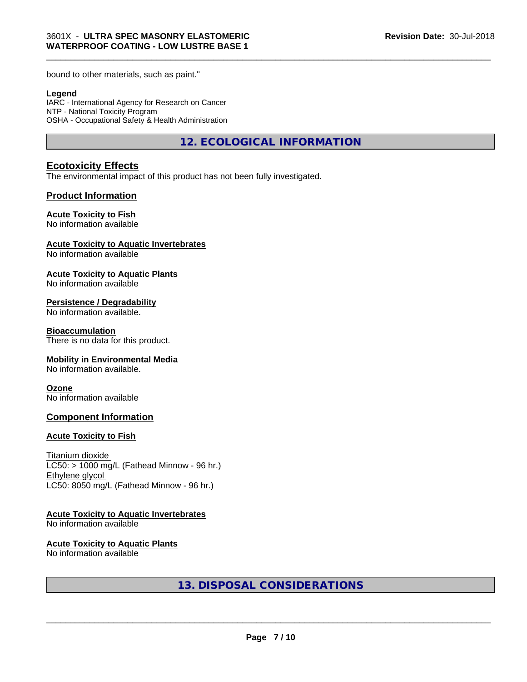bound to other materials, such as paint."

#### **Legend**

IARC - International Agency for Research on Cancer NTP - National Toxicity Program OSHA - Occupational Safety & Health Administration

**12. ECOLOGICAL INFORMATION**

\_\_\_\_\_\_\_\_\_\_\_\_\_\_\_\_\_\_\_\_\_\_\_\_\_\_\_\_\_\_\_\_\_\_\_\_\_\_\_\_\_\_\_\_\_\_\_\_\_\_\_\_\_\_\_\_\_\_\_\_\_\_\_\_\_\_\_\_\_\_\_\_\_\_\_\_\_\_\_\_\_\_\_\_\_\_\_\_\_\_\_\_\_

#### **Ecotoxicity Effects**

The environmental impact of this product has not been fully investigated.

#### **Product Information**

#### **Acute Toxicity to Fish**

No information available

#### **Acute Toxicity to Aquatic Invertebrates**

No information available

#### **Acute Toxicity to Aquatic Plants**

No information available

#### **Persistence / Degradability**

No information available.

#### **Bioaccumulation**

There is no data for this product.

#### **Mobility in Environmental Media**

No information available.

#### **Ozone**

No information available

#### **Component Information**

#### **Acute Toxicity to Fish**

Titanium dioxide  $LC50:$  > 1000 mg/L (Fathead Minnow - 96 hr.) Ethylene glycol LC50: 8050 mg/L (Fathead Minnow - 96 hr.)

#### **Acute Toxicity to Aquatic Invertebrates**

No information available

#### **Acute Toxicity to Aquatic Plants**

No information available

**13. DISPOSAL CONSIDERATIONS**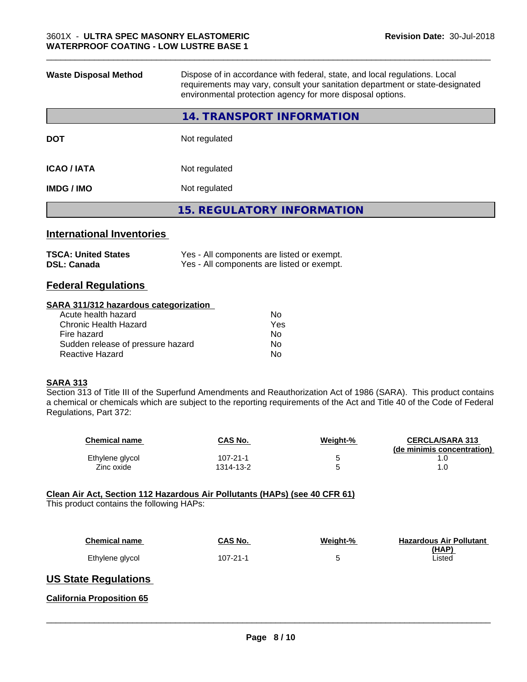| <b>Waste Disposal Method</b> | Dispose of in accordance with federal, state, and local regulations. Local<br>requirements may vary, consult your sanitation department or state-designated<br>environmental protection agency for more disposal options. |
|------------------------------|---------------------------------------------------------------------------------------------------------------------------------------------------------------------------------------------------------------------------|
|                              | 14. TRANSPORT INFORMATION                                                                                                                                                                                                 |
| <b>DOT</b>                   | Not regulated                                                                                                                                                                                                             |
| <b>ICAO / IATA</b>           | Not regulated                                                                                                                                                                                                             |
| <b>IMDG / IMO</b>            | Not regulated                                                                                                                                                                                                             |
|                              | <b>15. REGULATORY INFORMATION</b>                                                                                                                                                                                         |
|                              |                                                                                                                                                                                                                           |

## **International Inventories**

| <b>TSCA: United States</b> | Yes - All components are listed or exempt. |
|----------------------------|--------------------------------------------|
| <b>DSL: Canada</b>         | Yes - All components are listed or exempt. |

### **Federal Regulations**

#### **SARA 311/312 hazardous categorization**

| No. |
|-----|
| Yes |
| No. |
| Nο  |
| N٥  |
|     |

#### **SARA 313**

Section 313 of Title III of the Superfund Amendments and Reauthorization Act of 1986 (SARA). This product contains a chemical or chemicals which are subject to the reporting requirements of the Act and Title 40 of the Code of Federal Regulations, Part 372:

| <b>Chemical name</b> | CAS No.   | Weight-% | <b>CERCLA/SARA 313</b><br>(de minimis concentration) |
|----------------------|-----------|----------|------------------------------------------------------|
| Ethylene glycol      | 107-21-1  |          |                                                      |
| Zinc oxide           | 1314-13-2 |          |                                                      |

#### **Clean Air Act,Section 112 Hazardous Air Pollutants (HAPs) (see 40 CFR 61)**

This product contains the following HAPs:

| <b>Chemical name</b> | CAS No.  | Weight-% | <b>Hazardous Air Pollutant</b><br>(HAP) |
|----------------------|----------|----------|-----------------------------------------|
| Ethylene glycol      | 107-21-1 |          | Listed                                  |

### **US State Regulations**

#### **California Proposition 65**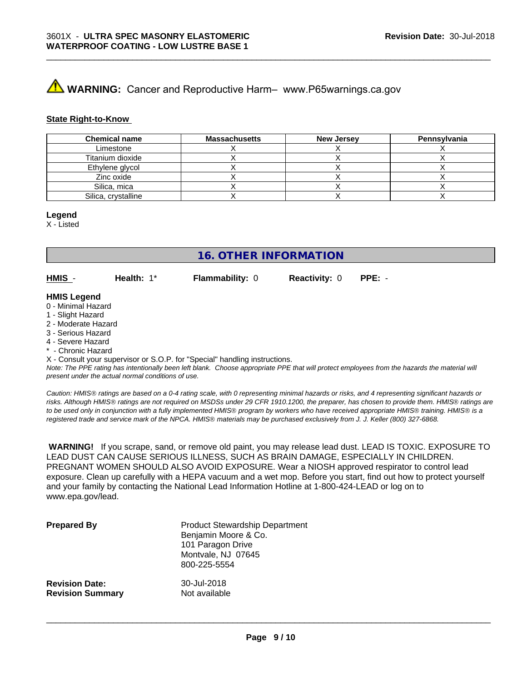# **A WARNING:** Cancer and Reproductive Harm– www.P65warnings.ca.gov

#### **State Right-to-Know**

| <b>Chemical name</b> | <b>Massachusetts</b> | <b>New Jersey</b> | Pennsylvania |
|----------------------|----------------------|-------------------|--------------|
| Limestone            |                      |                   |              |
| Titanium dioxide     |                      |                   |              |
| Ethylene glycol      |                      |                   |              |
| Zinc oxide           |                      |                   |              |
| Silica, mica         |                      |                   |              |
| Silica, crystalline  |                      |                   |              |

\_\_\_\_\_\_\_\_\_\_\_\_\_\_\_\_\_\_\_\_\_\_\_\_\_\_\_\_\_\_\_\_\_\_\_\_\_\_\_\_\_\_\_\_\_\_\_\_\_\_\_\_\_\_\_\_\_\_\_\_\_\_\_\_\_\_\_\_\_\_\_\_\_\_\_\_\_\_\_\_\_\_\_\_\_\_\_\_\_\_\_\_\_

#### **Legend**

X - Listed

**16. OTHER INFORMATION**

**HMIS** - **Health:** 1\* **Flammability:** 0 **Reactivity:** 0 **PPE:** -

#### **HMIS Legend**

- 0 Minimal Hazard
- 1 Slight Hazard
- 2 Moderate Hazard
- 3 Serious Hazard
- 4 Severe Hazard
- Chronic Hazard

X - Consult your supervisor or S.O.P. for "Special" handling instructions.

*Note: The PPE rating has intentionally been left blank. Choose appropriate PPE that will protect employees from the hazards the material will present under the actual normal conditions of use.*

*Caution: HMISÒ ratings are based on a 0-4 rating scale, with 0 representing minimal hazards or risks, and 4 representing significant hazards or risks. Although HMISÒ ratings are not required on MSDSs under 29 CFR 1910.1200, the preparer, has chosen to provide them. HMISÒ ratings are to be used only in conjunction with a fully implemented HMISÒ program by workers who have received appropriate HMISÒ training. HMISÒ is a registered trade and service mark of the NPCA. HMISÒ materials may be purchased exclusively from J. J. Keller (800) 327-6868.*

 **WARNING!** If you scrape, sand, or remove old paint, you may release lead dust. LEAD IS TOXIC. EXPOSURE TO LEAD DUST CAN CAUSE SERIOUS ILLNESS, SUCH AS BRAIN DAMAGE, ESPECIALLY IN CHILDREN. PREGNANT WOMEN SHOULD ALSO AVOID EXPOSURE.Wear a NIOSH approved respirator to control lead exposure. Clean up carefully with a HEPA vacuum and a wet mop. Before you start, find out how to protect yourself and your family by contacting the National Lead Information Hotline at 1-800-424-LEAD or log on to www.epa.gov/lead.

| <b>Prepared By</b>      | <b>Product Stewardship Department</b><br>Benjamin Moore & Co.<br>101 Paragon Drive<br>Montvale, NJ 07645<br>800-225-5554 |
|-------------------------|--------------------------------------------------------------------------------------------------------------------------|
| <b>Revision Date:</b>   | 30-Jul-2018                                                                                                              |
| <b>Revision Summary</b> | Not available                                                                                                            |